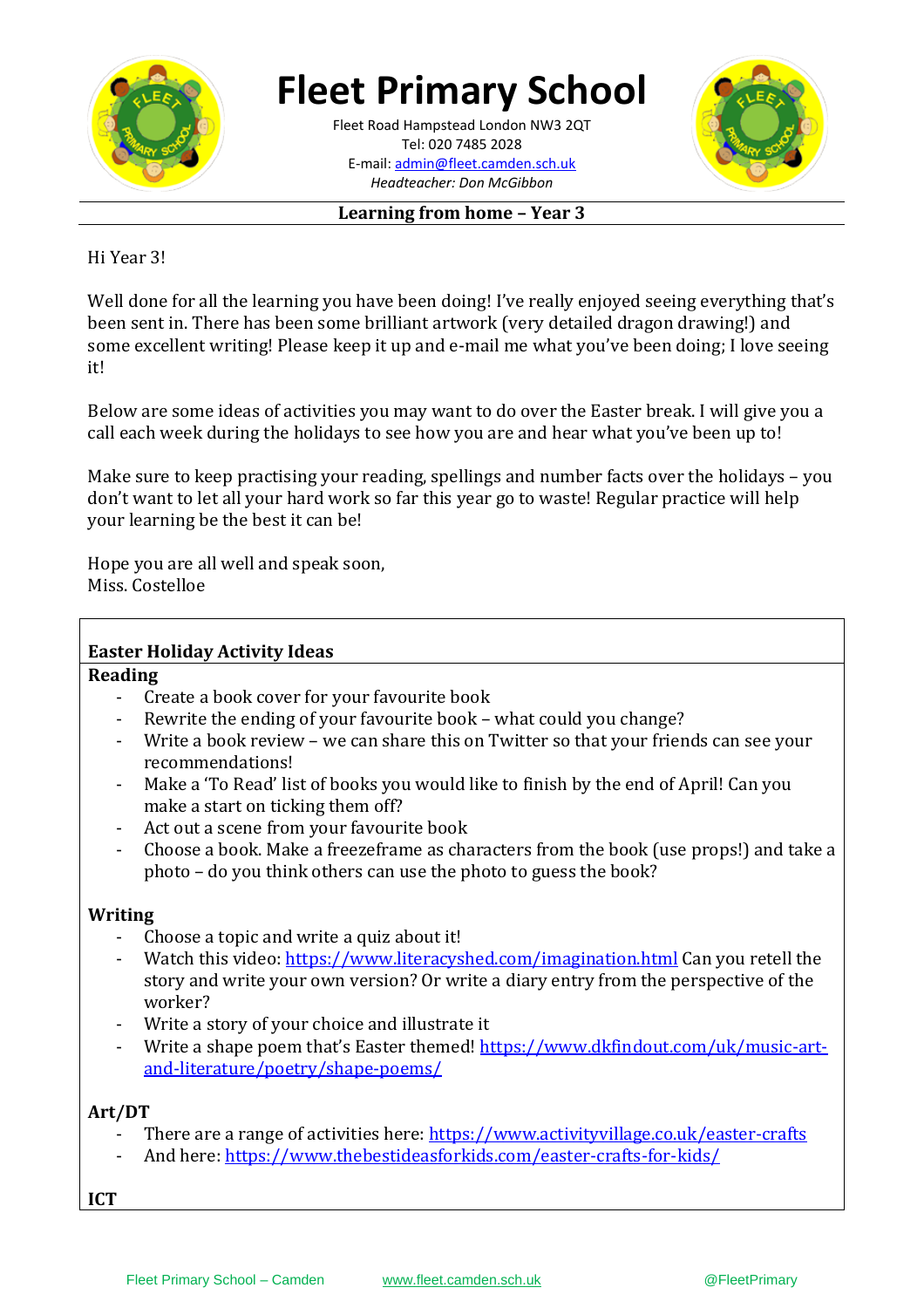

# **Fleet Primary School**

**\_\_\_\_\_\_\_\_\_\_[\\_\\_\\_\\_\\_\\_\\_\\_\\_\\_\\_\\_\\_](mailto:admin@fleet.camden.sch.uk)\_\_\_\_\_\_** E-mail: admin@fleet.camden.sch.uk Fleet Road Hampstead London NW3 2QT Tel: 020 7485 2028 *Headteacher: Don McGibbon*



#### **Learning from home – Year 3**

Hi Year 3!

Well done for all the learning you have been doing! I've really enjoyed seeing everything that's been sent in. There has been some brilliant artwork (very detailed dragon drawing!) and some excellent writing! Please keep it up and e-mail me what you've been doing; I love seeing it!

Below are some ideas of activities you may want to do over the Easter break. I will give you a call each week during the holidays to see how you are and hear what you've been up to!

Make sure to keep practising your reading, spellings and number facts over the holidays – you don't want to let all your hard work so far this year go to waste! Regular practice will help your learning be the best it can be!

Hope you are all well and speak soon, Miss. Costelloe

### **Easter Holiday Activity Ideas**

#### **Reading**

- Create a book cover for your favourite book
- Rewrite the ending of your favourite book what could you change?
- Write a book review we can share this on Twitter so that your friends can see your recommendations!
- Make a 'To Read' list of books you would like to finish by the end of April! Can you make a start on ticking them off?
- Act out a scene from your favourite book
- Choose a book. Make a freezeframe as characters from the book (use props!) and take a photo – do you think others can use the photo to guess the book?

## **Writing**

- Choose a topic and write a quiz about it!
- Watch this video:<https://www.literacyshed.com/imagination.html> Can you retell the story and write your own version? Or write a diary entry from the perspective of the worker?
- Write a story of your choice and illustrate it
- Write a shape poem that's Easter themed! [https://www.dkfindout.com/uk/music-art](https://www.dkfindout.com/uk/music-art-and-literature/poetry/shape-poems/)[and-literature/poetry/shape-poems/](https://www.dkfindout.com/uk/music-art-and-literature/poetry/shape-poems/)

# **Art/DT**

- There are a range of activities here:<https://www.activityvillage.co.uk/easter-crafts>
- And here:<https://www.thebestideasforkids.com/easter-crafts-for-kids/>

**ICT**